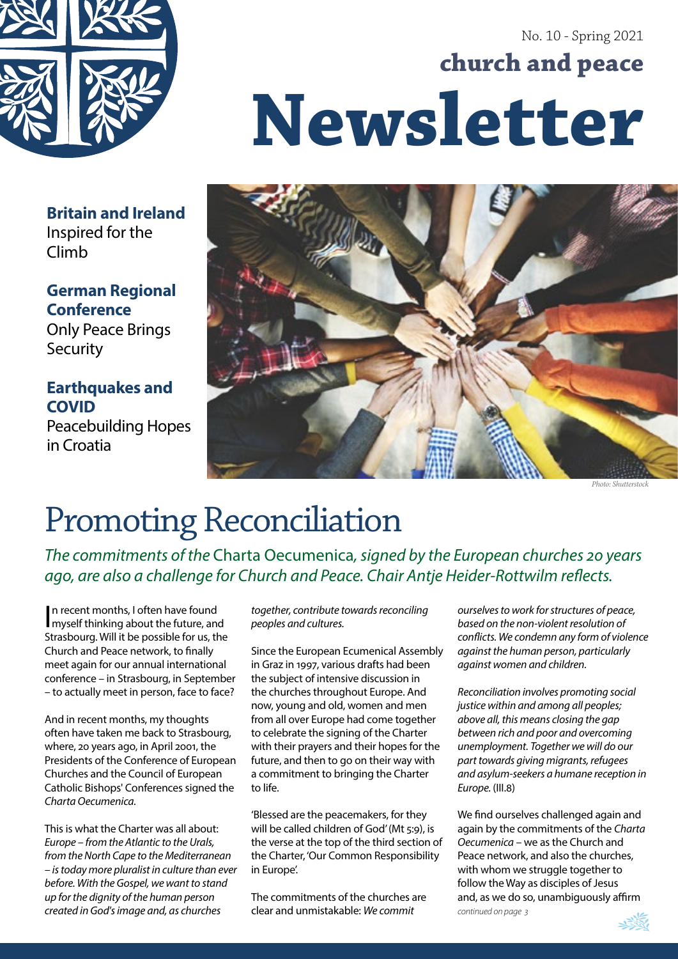

# No. 10 - Spring 2021 **church and peace Newsletter**



*Photo: Shutterstock*

### **Britain and Ireland** Inspired for the Climb

## **German Regional Conference**

Only Peace Brings **Security** 

## **Earthquakes and COVID**

Peacebuilding Hopes in Croatia

# Promoting Reconciliation

*The commitments of the* Charta Oecumenica*, signed by the European churches 20 years ago, are also a challenge for Church and Peace. Chair Antje Heider-Rottwilm reflects.*

In recent months, I often have found<br>I myself thinking about the future, and myself thinking about the future, and Strasbourg. Will it be possible for us, the Church and Peace network, to finally meet again for our annual international conference – in Strasbourg, in September – to actually meet in person, face to face?

And in recent months, my thoughts often have taken me back to Strasbourg, where, 20 years ago, in April 2001, the Presidents of the Conference of European Churches and the Council of European Catholic Bishops' Conferences signed the *Charta Oecumenica.*

This is what the Charter was all about: *Europe – from the Atlantic to the Urals, from the North Cape to the Mediterranean – is today more pluralist in culture than ever before. With the Gospel, we want to stand up for the dignity of the human person created in God's image and, as churches* 

*together, contribute towards reconciling peoples and cultures.*

Since the European Ecumenical Assembly in Graz in 1997, various drafts had been the subject of intensive discussion in the churches throughout Europe. And now, young and old, women and men from all over Europe had come together to celebrate the signing of the Charter with their prayers and their hopes for the future, and then to go on their way with a commitment to bringing the Charter to life.

'Blessed are the peacemakers, for they will be called children of God' (Mt 5:9), is the verse at the top of the third section of the Charter, 'Our Common Responsibility in Europe'.

The commitments of the churches are clear and unmistakable: *We commit* 

*ourselves to work for structures of peace, based on the non-violent resolution of conflicts. We condemn any form of violence against the human person, particularly against women and children.* 

*Reconciliation involves promoting social justice within and among all peoples; above all, this means closing the gap between rich and poor and overcoming unemployment. Together we will do our part towards giving migrants, refugees and asylum-seekers a humane reception in Europe.* (III.8)

We find ourselves challenged again and again by the commitments of the *Charta Oecumenica* – we as the Church and Peace network, and also the churches, with whom we struggle together to follow the Way as disciples of Jesus and, as we do so, unambiguously affirm *continued on page 3*

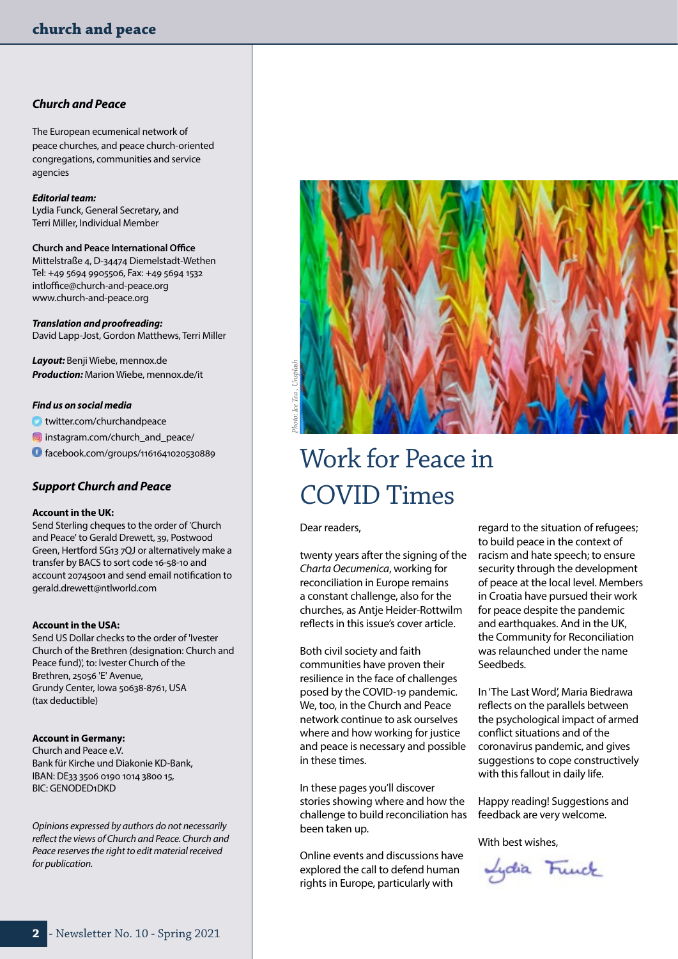### *Church and Peace*

The European ecumenical network of peace churches, and peace church-oriented congregations, communities and service agencies

#### *Editorial team:*

Lydia Funck, General Secretary, and Terri Miller, Individual Member

**Church and Peace International Office** Mittelstraße 4, D-34474 Diemelstadt-Wethen Tel: +49 5694 9905506, Fax: +49 5694 1532 [intloffice@church-and-peace.org](http://IntlOffice@church-and-peace.org) [www.church-and-peace.org](http://www.church-and-peace.org)

*Translation and proofreading:* David Lapp-Jost, Gordon Matthews, Terri Miller

*Layout:* Benji Wiebe, [mennox.de](http://mennox.de) *Production:* Marion Wiebe, [mennox.de/it](http://mennox.de/it)

#### *Find us on social media*

[twitter.com/churchandpeace](http://twitter.com/churchandpeace)

**ia** [instagram.com/church\\_and\\_peace/](http://instagram.com/church_and_peace/)

[facebook.com/groups/1161641020530889](http://facebook.com/groups/1161641020530889)

### *Support Church and Peace*

#### **Account in the UK:**

Send Sterling cheques to the order of 'Church and Peace' to Gerald Drewett, 39, Postwood Green, Hertford SG13 7QJ or alternatively make a transfer by BACS to sort code 16-58-10 and account 20745001 and send email notification to [gerald.drewett@ntlworld.com](mailto:gerald.drewett@ntlworld.com)

#### **Account in the USA:**

Send US Dollar checks to the order of 'Ivester Church of the Brethren (designation: Church and Peace fund)', to: Ivester Church of the Brethren, 25056 'E' Avenue, Grundy Center, Iowa 50638-8761, USA (tax deductible)

#### **Account in Germany:**

Church and Peace e.V. Bank für Kirche und Diakonie KD-Bank, IBAN: DE33 3506 0190 1014 3800 15, BIC: GENODED1DKD

*Opinions expressed by authors do not necessarily reflect the views of Church and Peace. Church and Peace reserves the right to edit material received for publication.* 



# Work for Peace in COVID Times

Dear readers,

twenty years after the signing of the *Charta Oecumenica*, working for reconciliation in Europe remains a constant challenge, also for the churches, as Antje Heider-Rottwilm reflects in this issue's cover article.

Both civil society and faith communities have proven their resilience in the face of challenges posed by the COVID-19 pandemic. We, too, in the Church and Peace network continue to ask ourselves where and how working for justice and peace is necessary and possible in these times.

In these pages you'll discover stories showing where and how the challenge to build reconciliation has been taken up.

Online events and discussions have explored the call to defend human rights in Europe, particularly with

regard to the situation of refugees; to build peace in the context of racism and hate speech; to ensure security through the development of peace at the local level. Members in Croatia have pursued their work for peace despite the pandemic and earthquakes. And in the UK, the Community for Reconciliation was relaunched under the name Seedbeds.

In 'The Last Word', Maria Biedrawa reflects on the parallels between the psychological impact of armed conflict situations and of the coronavirus pandemic, and gives suggestions to cope constructively with this fallout in daily life.

Happy reading! Suggestions and feedback are very welcome.

With best wishes,

Lydia Funck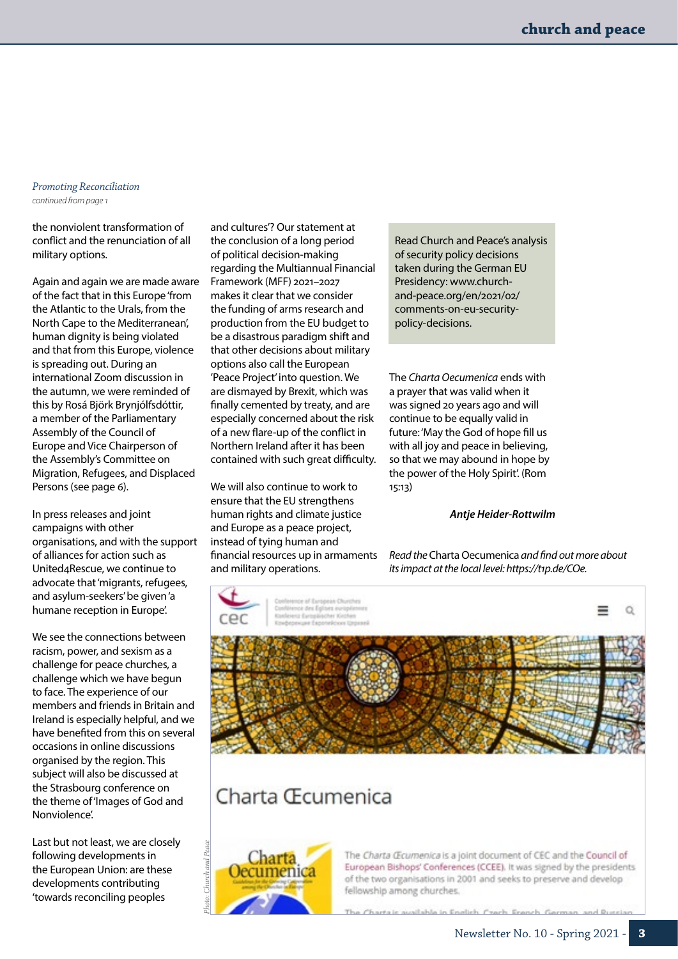#### *Promoting Reconciliation continued from page 1*

the nonviolent transformation of conflict and the renunciation of all military options.

Again and again we are made aware of the fact that in this Europe 'from the Atlantic to the Urals, from the North Cape to the Mediterranean', human dignity is being violated and that from this Europe, violence is spreading out. During an international Zoom discussion in the autumn, we were reminded of this by Rosá Björk Brynjólfsdóttir, a member of the Parliamentary Assembly of the Council of Europe and Vice Chairperson of the Assembly's Committee on Migration, Refugees, and Displaced Persons ([see page 6](#page-5-0)).

In press releases and joint campaigns with other organisations, and with the support of alliances for action such as United4Rescue, we continue to advocate that 'migrants, refugees, and asylum-seekers' be given 'a humane reception in Europe'.

We see the connections between racism, power, and sexism as a challenge for peace churches, a challenge which we have begun to face. The experience of our members and friends in Britain and Ireland is especially helpful, and we have benefited from this on several occasions in online discussions organised by the region. This subject will also be discussed at the Strasbourg conference on the theme of 'Images of God and Nonviolence'.

Last but not least, we are closely following developments in the European Union: are these developments contributing 'towards reconciling peoples

and cultures'? Our statement at the conclusion of a long period of political decision-making regarding the Multiannual Financial Framework (MFF) 2021–2027 makes it clear that we consider the funding of arms research and production from the EU budget to be a disastrous paradigm shift and that other decisions about military options also call the European 'Peace Project' into question. We are dismayed by Brexit, which was finally cemented by treaty, and are especially concerned about the risk of a new flare-up of the conflict in Northern Ireland after it has been contained with such great difficulty.

We will also continue to work to ensure that the EU strengthens human rights and climate justice and Europe as a peace project, instead of tying human and financial resources up in armaments and military operations.

Read Church and Peace's analysis of security policy decisions taken during the German EU Presidency: [www.church](http://www.church-and-peace.org/en/2021/02/comments-on-eu-security-policy-decisions)[and-peace.org/en/2021/02/](http://www.church-and-peace.org/en/2021/02/comments-on-eu-security-policy-decisions) [comments-on-eu-security](http://www.church-and-peace.org/en/2021/02/comments-on-eu-security-policy-decisions)[policy-decisions](http://www.church-and-peace.org/en/2021/02/comments-on-eu-security-policy-decisions).

The *Charta Oecumenica* ends with a prayer that was valid when it was signed 20 years ago and will continue to be equally valid in future: 'May the God of hope fill us with all joy and peace in believing, so that we may abound in hope by the power of the Holy Spirit'. (Rom 15:13)

### *Antje Heider-Rottwilm*

*Read the* Charta Oecumenica *and find out more about its impact at the local level: [https://t1p.de/COe.](https://t1p.de/COe)*



European Bishops' Conferences (CCEE). It was signed by the presidents of the two organisations in 2001 and seeks to preserve and develop fellowship among churches.

The Chartais available in Fnelish Czech French German, and Russian.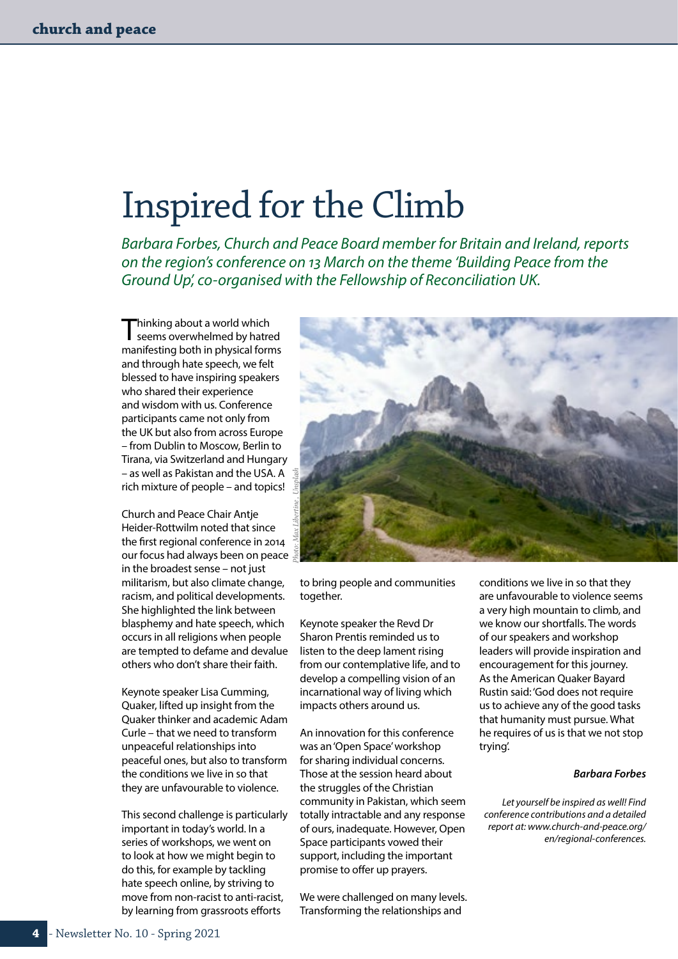# Inspired for the Climb

*Barbara Forbes, Church and Peace Board member for Britain and Ireland, reports on the region's conference on 13 March on the theme 'Building Peace from the Ground Up', co-organised with the Fellowship of Reconciliation UK.* 

Thinking about a world which seems overwhelmed by hatred manifesting both in physical forms and through hate speech, we felt blessed to have inspiring speakers who shared their experience and wisdom with us. Conference participants came not only from the UK but also from across Europe – from Dublin to Moscow, Berlin to Tirana, via Switzerland and Hungary – as well as Pakistan and the USA. A rich mixture of people – and topics!

Church and Peace Chair Antje Heider-Rottwilm noted that since the first regional conference in 2014 our focus had always been on peace in the broadest sense – not just militarism, but also climate change, racism, and political developments. She highlighted the link between blasphemy and hate speech, which occurs in all religions when people are tempted to defame and devalue others who don't share their faith.

Keynote speaker Lisa Cumming, Quaker, lifted up insight from the Quaker thinker and academic Adam Curle – that we need to transform unpeaceful relationships into peaceful ones, but also to transform the conditions we live in so that they are unfavourable to violence.

This second challenge is particularly important in today's world. In a series of workshops, we went on to look at how we might begin to do this, for example by tackling hate speech online, by striving to move from non-racist to anti-racist, by learning from grassroots efforts

*Photo: Max Libertine , Unsplash*

to bring people and communities together.

Keynote speaker the Revd Dr Sharon Prentis reminded us to listen to the deep lament rising from our contemplative life, and to develop a compelling vision of an incarnational way of living which impacts others around us.

An innovation for this conference was an 'Open Space' workshop for sharing individual concerns. Those at the session heard about the struggles of the Christian community in Pakistan, which seem totally intractable and any response of ours, inadequate. However, Open Space participants vowed their support, including the important promise to offer up prayers.

We were challenged on many levels. Transforming the relationships and

conditions we live in so that they are unfavourable to violence seems a very high mountain to climb, and we know our shortfalls. The words of our speakers and workshop leaders will provide inspiration and encouragement for this journey. As the American Quaker Bayard Rustin said: 'God does not require us to achieve any of the good tasks that humanity must pursue. What he requires of us is that we not stop trying'.

### *Barbara Forbes*

*Let yourself be inspired as well! Find conference contributions and a detailed report at: [www.church-and-peace.org/](http://www.church-and-peace.org/en/regional-conferences) [en/regional-conferences.](http://www.church-and-peace.org/en/regional-conferences)*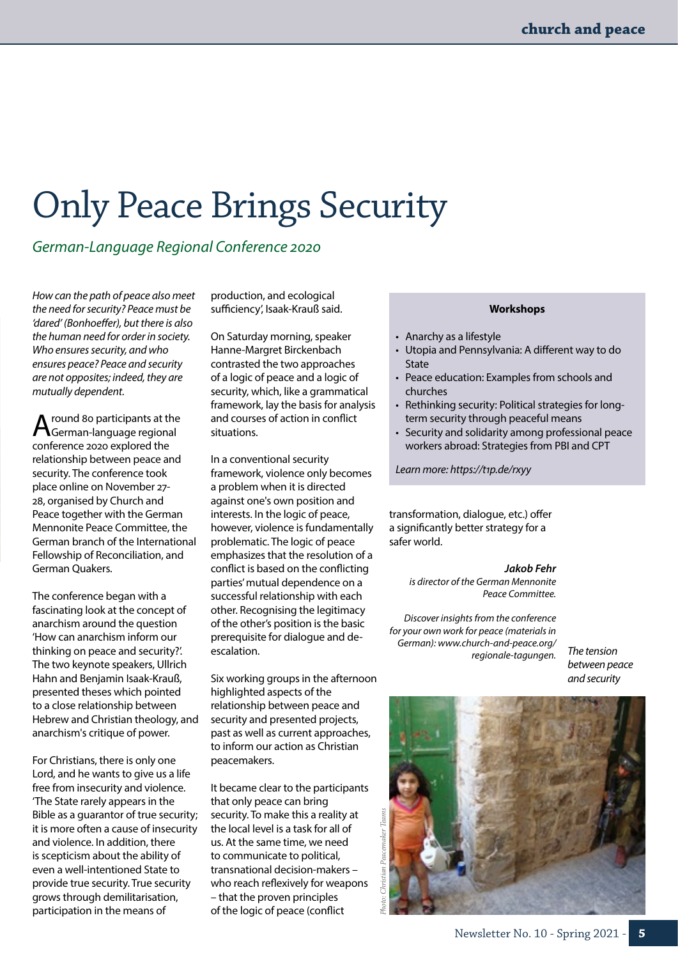# Only Peace Brings Security

*German-Language Regional Conference 2020*

*How can the path of peace also meet the need for security? Peace must be 'dared' (Bonhoeffer), but there is also the human need for order in society. Who ensures security, and who ensures peace? Peace and security are not opposites; indeed, they are mutually dependent.* 

A round 80 participants at the<br>German-language regional conference 2020 explored the relationship between peace and security. The conference took place online on November 27- 28, organised by Church and Peace together with the German Mennonite Peace Committee, the German branch of the International Fellowship of Reconciliation, and German Quakers.

The conference began with a fascinating look at the concept of anarchism around the question 'How can anarchism inform our thinking on peace and security?'. The two keynote speakers, Ullrich Hahn and Benjamin Isaak-Krauß, presented theses which pointed to a close relationship between Hebrew and Christian theology, and anarchism's critique of power.

For Christians, there is only one Lord, and he wants to give us a life free from insecurity and violence. 'The State rarely appears in the Bible as a guarantor of true security; it is more often a cause of insecurity and violence. In addition, there is scepticism about the ability of even a well-intentioned State to provide true security. True security grows through demilitarisation, participation in the means of

production, and ecological sufficiency', Isaak-Krauß said.

On Saturday morning, speaker Hanne-Margret Birckenbach contrasted the two approaches of a logic of peace and a logic of security, which, like a grammatical framework, lay the basis for analysis and courses of action in conflict situations.

In a conventional security framework, violence only becomes a problem when it is directed against one's own position and interests. In the logic of peace, however, violence is fundamentally problematic. The logic of peace emphasizes that the resolution of a conflict is based on the conflicting parties' mutual dependence on a successful relationship with each other. Recognising the legitimacy of the other's position is the basic prerequisite for dialogue and deescalation.

Six working groups in the afternoon highlighted aspects of the relationship between peace and security and presented projects, past as well as current approaches, to inform our action as Christian peacemakers.

It became clear to the participants that only peace can bring security. To make this a reality at the local level is a task for all of us. At the same time, we need to communicate to political, transnational decision-makers – who reach reflexively for weapons – that the proven principles of the logic of peace (conflict

### **Workshops**

- Anarchy as a lifestyle
- Utopia and Pennsylvania: A different way to do State
- Peace education: Examples from schools and churches
- Rethinking security: Political strategies for longterm security through peaceful means
- Security and solidarity among professional peace workers abroad: Strategies from PBI and CPT

*Learn more:<https://t1p.de/rxyy>*

transformation, dialogue, etc.) offer a significantly better strategy for a safer world.

> *Jakob Fehr is director of the German Mennonite Peace Committee.*

*Discover insights from the conference for your own work for peace (materials in German): [www.church-and-peace.org/](http://www.church-and-peace.org/regionale-tagungen) [regionale-tagungen.](http://www.church-and-peace.org/regionale-tagungen)*

*The tension between peace and security*

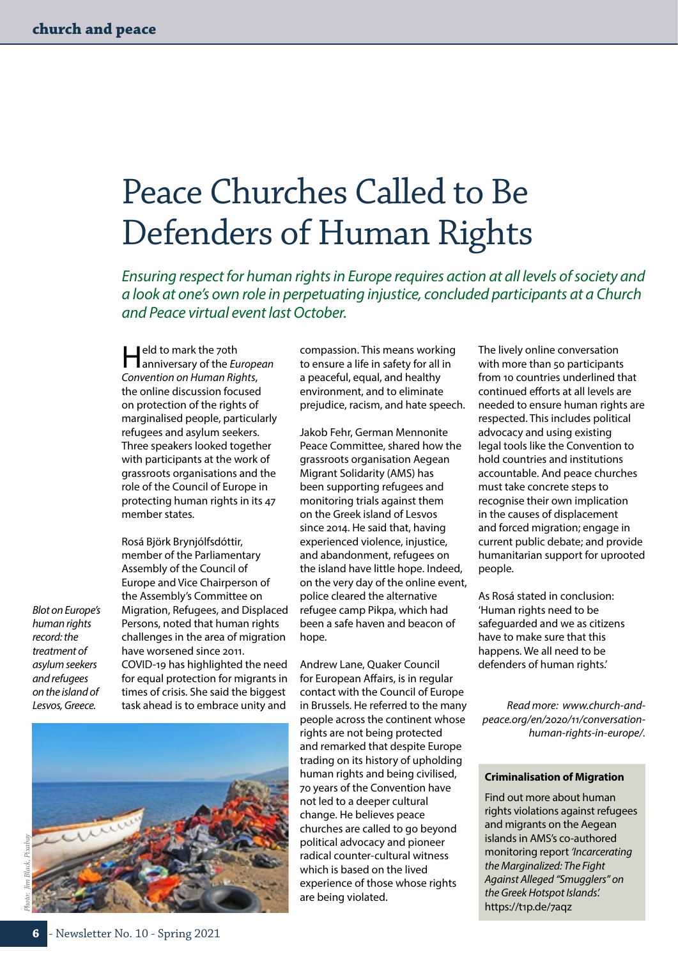# <span id="page-5-0"></span>Peace Churches Called to Be Defenders of Human Rights

*Ensuring respect for human rights in Europe requires action at all levels of society and a look at one's own role in perpetuating injustice, concluded participants at a Church and Peace virtual event last October.*

Held to mark the 70th anniversary of the *European Convention on Human Rights*, the online discussion focused on protection of the rights of marginalised people, particularly refugees and asylum seekers. Three speakers looked together with participants at the work of grassroots organisations and the role of the Council of Europe in protecting human rights in its 47 member states.

Rosá Björk Brynjólfsdóttir, member of the Parliamentary Assembly of the Council of Europe and Vice Chairperson of the Assembly's Committee on Migration, Refugees, and Displaced Persons, noted that human rights challenges in the area of migration have worsened since 2011. COVID-19 has highlighted the need for equal protection for migrants in times of crisis. She said the biggest task ahead is to embrace unity and

compassion. This means working to ensure a life in safety for all in a peaceful, equal, and healthy environment, and to eliminate prejudice, racism, and hate speech.

Jakob Fehr, German Mennonite Peace Committee, shared how the grassroots organisation Aegean Migrant Solidarity (AMS) has been supporting refugees and monitoring trials against them on the Greek island of Lesvos since 2014. He said that, having experienced violence, injustice, and abandonment, refugees on the island have little hope. Indeed, on the very day of the online event, police cleared the alternative refugee camp Pikpa, which had been a safe haven and beacon of hope.

Andrew Lane, Quaker Council for European Affairs, is in regular contact with the Council of Europe in Brussels. He referred to the many people across the continent whose rights are not being protected and remarked that despite Europe trading on its history of upholding human rights and being civilised, 70 years of the Convention have not led to a deeper cultural change. He believes peace churches are called to go beyond political advocacy and pioneer radical counter-cultural witness which is based on the lived experience of those whose rights are being violated.

The lively online conversation with more than 50 participants from 10 countries underlined that continued efforts at all levels are needed to ensure human rights are respected. This includes political advocacy and using existing legal tools like the Convention to hold countries and institutions accountable. And peace churches must take concrete steps to recognise their own implication in the causes of displacement and forced migration; engage in current public debate; and provide humanitarian support for uprooted people.

As Rosá stated in conclusion: 'Human rights need to be safeguarded and we as citizens have to make sure that this happens. We all need to be defenders of human rights.'

*Read more: [www.church-and](http://www.church-and-peace.org/en/2020/11/conversation-human-rights-in-europe/)[peace.org/en/2020/11/conversation](http://www.church-and-peace.org/en/2020/11/conversation-human-rights-in-europe/)[human-rights-in-europe/.](http://www.church-and-peace.org/en/2020/11/conversation-human-rights-in-europe/)*

### **Criminalisation of Migration**

Find out more about human rights violations against refugees and migrants on the Aegean islands in AMS's co-authored monitoring report *'Incarcerating the Marginalized: The Fight Against Alleged "Smugglers" on the Greek Hotspot Islands'.* <https://t1p.de/7aqz>

*Photo: Jim Black, Pixabay*

*Blot on Europe's*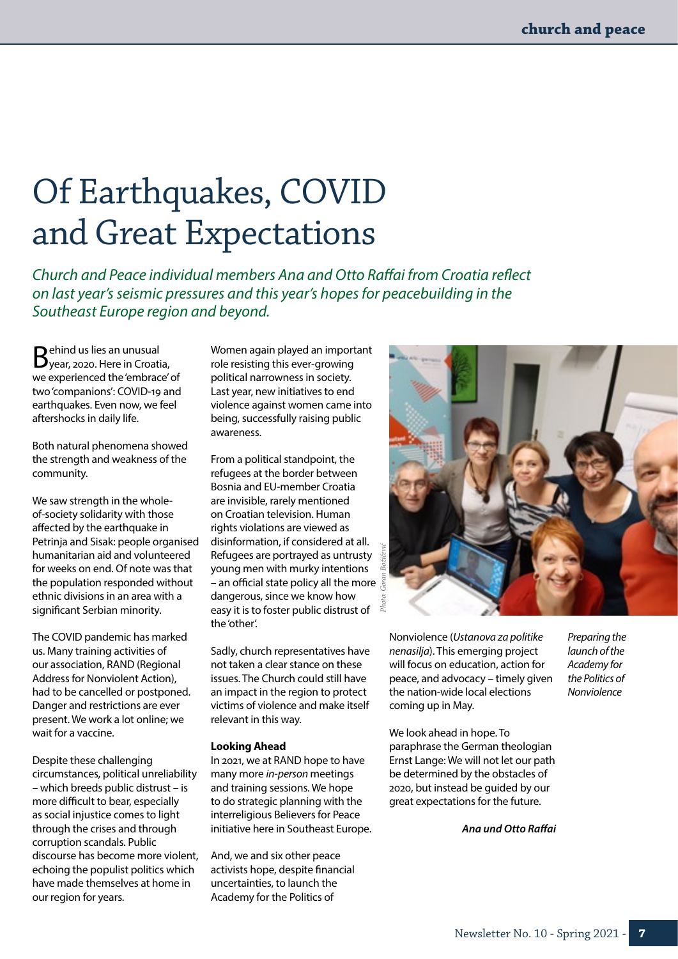# Of Earthquakes, COVID and Great Expectations

*Church and Peace individual members Ana and Otto Raffai from Croatia reflect on last year's seismic pressures and this year's hopes for peacebuilding in the Southeast Europe region and beyond.* 

Behind us lies an unusual year, 2020. Here in Croatia, we experienced the 'embrace' of two 'companions': COVID-19 and earthquakes. Even now, we feel aftershocks in daily life.

Both natural phenomena showed the strength and weakness of the community.

We saw strength in the wholeof-society solidarity with those affected by the earthquake in Petrinja and Sisak: people organised humanitarian aid and volunteered for weeks on end. Of note was that the population responded without ethnic divisions in an area with a significant Serbian minority.

The COVID pandemic has marked us. Many training activities of our association, RAND (Regional Address for Nonviolent Action), had to be cancelled or postponed. Danger and restrictions are ever present. We work a lot online; we wait for a vaccine.

Despite these challenging circumstances, political unreliability – which breeds public distrust – is more difficult to bear, especially as social injustice comes to light through the crises and through corruption scandals. Public discourse has become more violent, echoing the populist politics which have made themselves at home in our region for years.

Women again played an important role resisting this ever-growing political narrowness in society. Last year, new initiatives to end violence against women came into being, successfully raising public awareness.

From a political standpoint, the refugees at the border between Bosnia and EU-member Croatia are invisible, rarely mentioned on Croatian television. Human rights violations are viewed as disinformation, if considered at all. Refugees are portrayed as untrusty young men with murky intentions – an official state policy all the more dangerous, since we know how easy it is to foster public distrust of the 'other'.

Sadly, church representatives have not taken a clear stance on these issues. The Church could still have an impact in the region to protect victims of violence and make itself relevant in this way.

#### **Looking Ahead**

In 2021, we at RAND hope to have many more *in-person* meetings and training sessions. We hope to do strategic planning with the interreligious Believers for Peace initiative here in Southeast Europe.

And, we and six other peace activists hope, despite financial uncertainties, to launch the Academy for the Politics of



Nonviolence (*Ustanova za politike nenasilja*). This emerging project will focus on education, action for peace, and advocacy – timely given the nation-wide local elections coming up in May.

We look ahead in hope. To paraphrase the German theologian Ernst Lange: We will not let our path be determined by the obstacles of 2020, but instead be guided by our great expectations for the future.

*Ana und Otto Raffai*

*Preparing the launch of the Academy for the Politics of Nonviolence*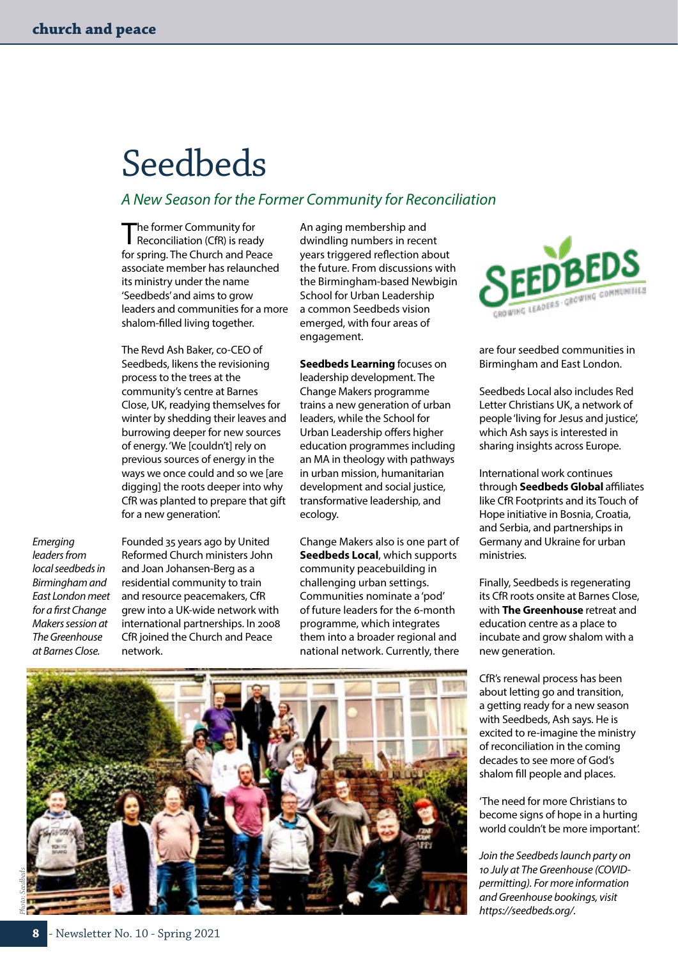# Seedbeds

### *A New Season for the Former Community for Reconciliation*

The former Community for<br>
Reconciliation (CfR) is ready for spring. The Church and Peace associate member has relaunched its ministry under the name 'Seedbeds' and aims to grow leaders and communities for a more shalom-filled living together.

The Revd Ash Baker, co-CEO of Seedbeds, likens the revisioning process to the trees at the community's centre at Barnes Close, UK, readying themselves for winter by shedding their leaves and burrowing deeper for new sources of energy. 'We [couldn't] rely on previous sources of energy in the ways we once could and so we [are digging] the roots deeper into why CfR was planted to prepare that gift for a new generation'.

*Emerging leaders from local seedbeds in Birmingham and East London meet for a first Change Makers session at The Greenhouse at Barnes Close.*

Founded 35 years ago by United Reformed Church ministers John and Joan Johansen-Berg as a residential community to train and resource peacemakers, CfR grew into a UK-wide network with international partnerships. In 2008 CfR joined the Church and Peace network.

An aging membership and dwindling numbers in recent years triggered reflection about the future. From discussions with the Birmingham-based Newbigin School for Urban Leadership a common Seedbeds vision emerged, with four areas of engagement.

**Seedbeds Learning** focuses on leadership development. The Change Makers programme trains a new generation of urban leaders, while the School for Urban Leadership offers higher education programmes including an MA in theology with pathways in urban mission, humanitarian development and social justice, transformative leadership, and ecology.

Change Makers also is one part of **Seedbeds Local**, which supports community peacebuilding in challenging urban settings. Communities nominate a 'pod' of future leaders for the 6-month programme, which integrates them into a broader regional and national network. Currently, there



are four seedbed communities in Birmingham and East London.

Seedbeds Local also includes Red Letter Christians UK, a network of people 'living for Jesus and justice', which Ash says is interested in sharing insights across Europe.

International work continues through **Seedbeds Global** affiliates like CfR Footprints and its Touch of Hope initiative in Bosnia, Croatia, and Serbia, and partnerships in Germany and Ukraine for urban ministries.

Finally, Seedbeds is regenerating its CfR roots onsite at Barnes Close, with **The Greenhouse** retreat and education centre as a place to incubate and grow shalom with a new generation.

CfR's renewal process has been about letting go and transition, a getting ready for a new season with Seedbeds, Ash says. He is excited to re-imagine the ministry of reconciliation in the coming decades to see more of God's shalom fill people and places.

'The need for more Christians to become signs of hope in a hurting world couldn't be more important'.

*Join the Seedbeds launch party on 10 July at The Greenhouse (COVIDpermitting). For more information and Greenhouse bookings, visit [https://seedbeds.org/.](https://seedbeds.org/)* 

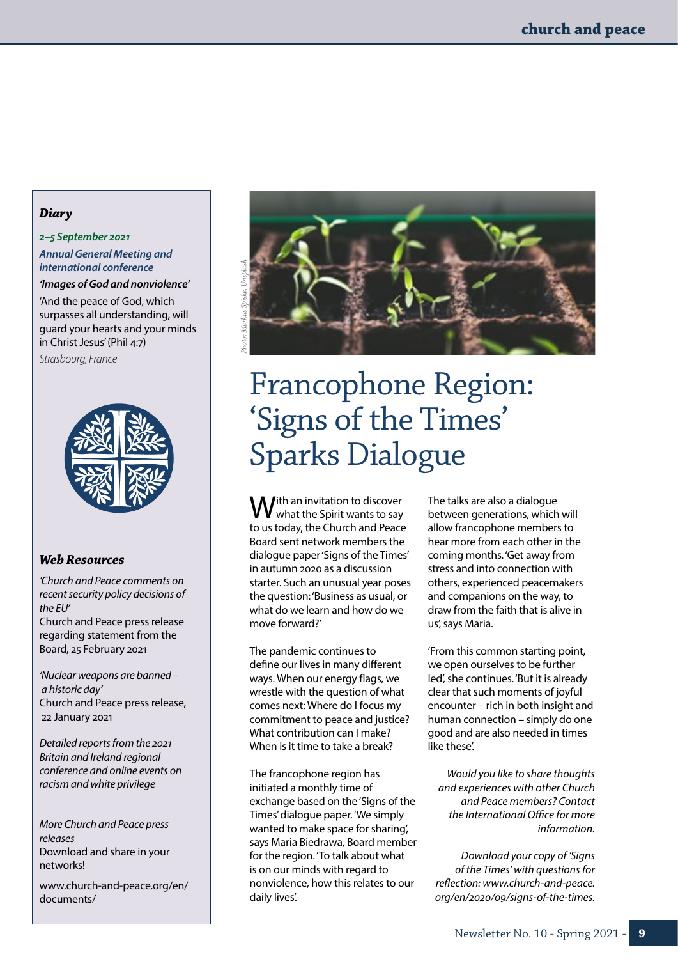### *Diary*

### *2–5 September 2021*

*Annual General Meeting and international conference*

*'Images of God and nonviolence'*

'And the peace of God, which surpasses all understanding, will guard your hearts and your minds in Christ Jesus' (Phil 4:7)

*Strasbourg, France*



### *Web Resources*

*'Church and Peace comments on recent security policy decisions of the EU'* Church and Peace press release regarding statement from the Board, 25 February 2021

*'Nuclear weapons are banned – a historic day'* Church and Peace press release, 22 January 2021

*Detailed reports from the 2021 Britain and Ireland regional conference and online events on racism and white privilege* 

*More Church and Peace press releases* Download and share in your networks!

[www.church-and-peace.org/en/](http://www.church-and-peace.org/en/documents/) [documents/](http://www.church-and-peace.org/en/documents/)



# Francophone Region: 'Signs of the Times' Sparks Dialogue

With an invitation to discover<br>With the Spirit wants to say to us today, the Church and Peace Board sent network members the dialogue paper 'Signs of the Times' in autumn 2020 as a discussion starter. Such an unusual year poses the question: 'Business as usual, or what do we learn and how do we move forward?'

The pandemic continues to define our lives in many different ways. When our energy flags, we wrestle with the question of what comes next: Where do I focus my commitment to peace and justice? What contribution can I make? When is it time to take a break?

The francophone region has initiated a monthly time of exchange based on the 'Signs of the Times' dialogue paper. 'We simply wanted to make space for sharing', says Maria Biedrawa, Board member for the region. 'To talk about what is on our minds with regard to nonviolence, how this relates to our daily lives'.

The talks are also a dialogue between generations, which will allow francophone members to hear more from each other in the coming months. 'Get away from stress and into connection with others, experienced peacemakers and companions on the way, to draw from the faith that is alive in us', says Maria.

'From this common starting point, we open ourselves to be further led', she continues. 'But it is already clear that such moments of joyful encounter – rich in both insight and human connection – simply do one good and are also needed in times like these'.

*Would you like to share thoughts and experiences with other Church and Peace members? Contact the International Office for more information.*

*Download your copy of 'Signs of the Times' with questions for reflection: [www.church-and-peace.](http://www.church-and-peace.org/en/2020/09/signs-of-the-times) [org/en/2020/09/signs-of-the-times](http://www.church-and-peace.org/en/2020/09/signs-of-the-times).*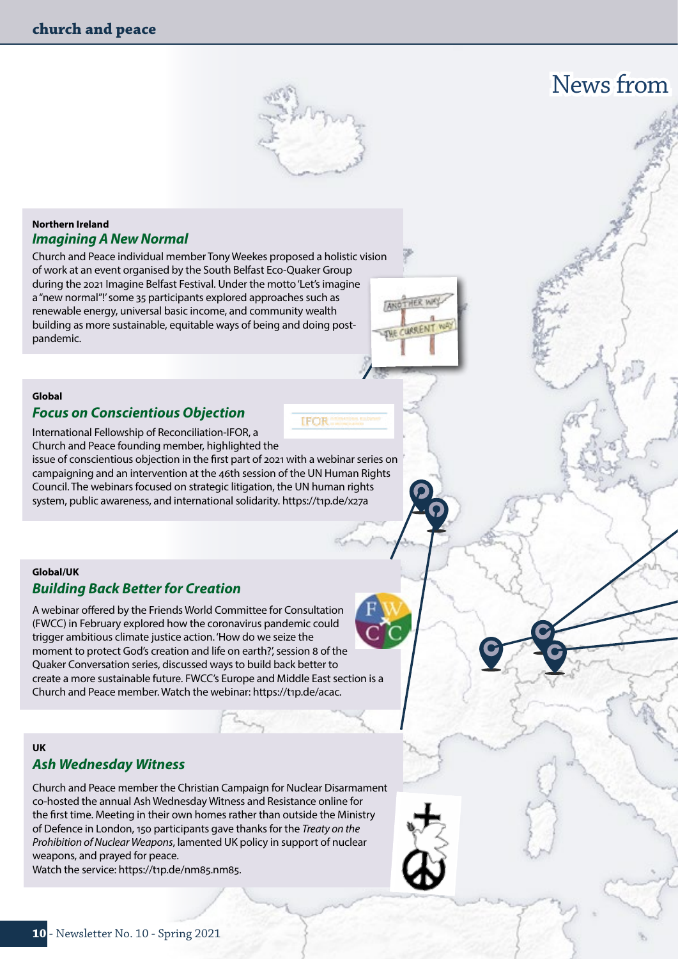

**IFOR** 

## News from

### **Northern Ireland**  *Imagining A New Normal*

Church and Peace individual member Tony Weekes proposed a holistic vision of work at an event organised by the South Belfast Eco-Quaker Group during the 2021 Imagine Belfast Festival. Under the motto 'Let's imagine a "new normal"!' some 35 participants explored approaches such as renewable energy, universal basic income, and community wealth building as more sustainable, equitable ways of being and doing postpandemic.

### **Global** *Focus on Conscientious Objection*

International Fellowship of Reconciliation-IFOR, a Church and Peace founding member, highlighted the issue of conscientious objection in the first part of 2021 with a webinar series on

campaigning and an intervention at the 46th session of the UN Human Rights Council. The webinars focused on strategic litigation, the UN human rights system, public awareness, and international solidarity.<https://t1p.de/x27a>

### **Global/UK**  *Building Back Better for Creation*

A webinar offered by the Friends World Committee for Consultation (FWCC) in February explored how the coronavirus pandemic could trigger ambitious climate justice action. 'How do we seize the moment to protect God's creation and life on earth?', session 8 of the Quaker Conversation series, discussed ways to build back better to create a more sustainable future. FWCC's Europe and Middle East section is a Church and Peace member. Watch the webinar:<https://t1p.de/acac>.

### **UK** *Ash Wednesday Witness*

Church and Peace member the Christian Campaign for Nuclear Disarmament co-hosted the annual Ash Wednesday Witness and Resistance online for the first time. Meeting in their own homes rather than outside the Ministry of Defence in London, 150 participants gave thanks for the *Treaty on the Prohibition of Nuclear Weapons*, lamented UK policy in support of nuclear weapons, and prayed for peace.

Watch the service: [https://t1p.de/nm85.nm85.](https://t1p.de/nm85.nm85)



ANOTHER WA

CURRENT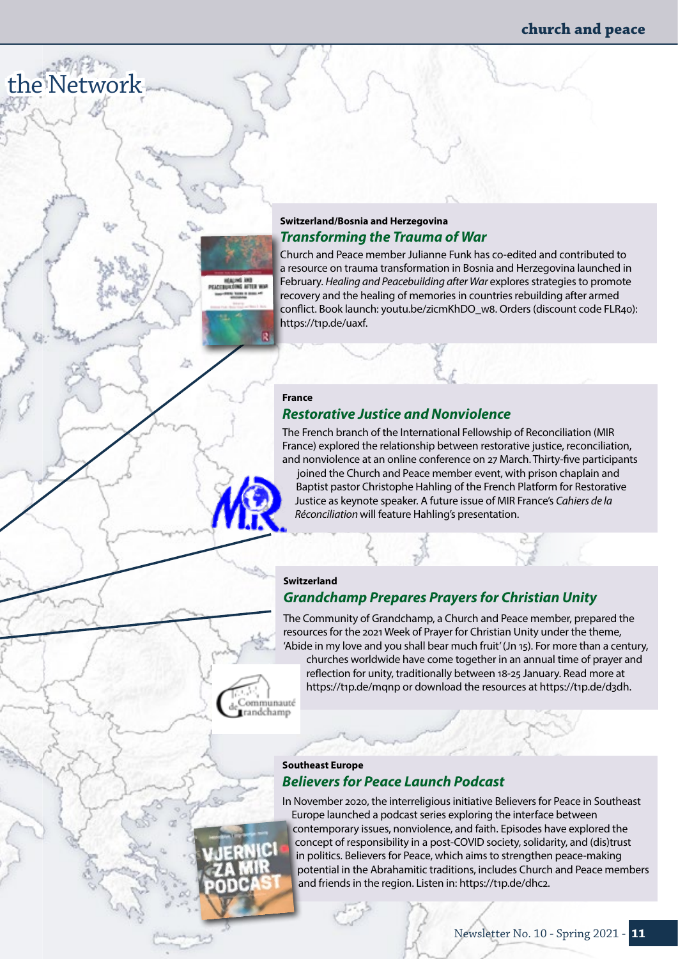### **Switzerland/Bosnia and Herzegovina** *Transforming the Trauma of War*

Church and Peace member Julianne Funk has co-edited and contributed to a resource on trauma transformation in Bosnia and Herzegovina launched in February. *Healing and Peacebuilding after War* explores strategies to promote recovery and the healing of memories in countries rebuilding after armed conflict. Book launch: [youtu.be/zicmKhDO\\_w8.](http://youtu.be/zicmKhDO_w8) Orders (discount code FLR40): [https://t1p.de/uaxf.](https://t1p.de/uaxf)

### **France**

 $R$ 

Communauté trandchamp

the Network

### *Restorative Justice and Nonviolence*

The French branch of the International Fellowship of Reconciliation (MIR France) explored the relationship between restorative justice, reconciliation, and nonviolence at an online conference on 27 March. Thirty-five participants

joined the Church and Peace member event, with prison chaplain and Baptist pastor Christophe Hahling of the French Platform for Restorative Justice as keynote speaker. A future issue of MIR France's *Cahiers de la Réconciliation* will feature Hahling's presentation.

### **Switzerland**  *Grandchamp Prepares Prayers for Christian Unity*

The Community of Grandchamp, a Church and Peace member, prepared the resources for the 2021 Week of Prayer for Christian Unity under the theme, 'Abide in my love and you shall bear much fruit' (Jn 15). For more than a century, churches worldwide have come together in an annual time of prayer and reflection for unity, traditionally between 18-25 January. Read more at <https://t1p.de/mqnp>or download the resources at [https://t1p.de/d3dh.](https://t1p.de/d3dh)

### **Southeast Europe** *Believers for Peace Launch Podcast*

In November 2020, the interreligious initiative Believers for Peace in Southeast Europe launched a podcast series exploring the interface between contemporary issues, nonviolence, and faith. Episodes have explored the concept of responsibility in a post-COVID society, solidarity, and (dis)trust in politics. Believers for Peace, which aims to strengthen peace-making potential in the Abrahamitic traditions, includes Church and Peace members and friends in the region. Listen in: <https://t1p.de/dhc2>.